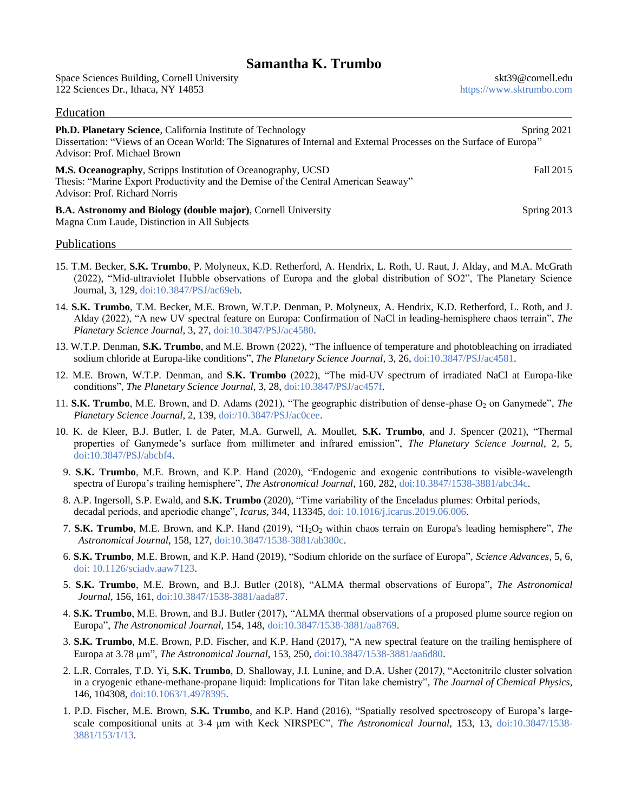# **Samantha K. Trumbo**

| Space Sciences Building, Cornell University<br>122 Sciences Dr., Ithaca, NY 14853                                                                                                                                         | skt39@cornell.edu<br>https://www.sktrumbo.com |  |
|---------------------------------------------------------------------------------------------------------------------------------------------------------------------------------------------------------------------------|-----------------------------------------------|--|
| Education                                                                                                                                                                                                                 |                                               |  |
| <b>Ph.D. Planetary Science, California Institute of Technology</b><br>Dissertation: "Views of an Ocean World: The Signatures of Internal and External Processes on the Surface of Europa"<br>Advisor: Prof. Michael Brown | Spring 2021                                   |  |
| M.S. Oceanography, Scripps Institution of Oceanography, UCSD<br>Thesis: "Marine Export Productivity and the Demise of the Central American Seaway"<br>Advisor: Prof. Richard Norris                                       | Fall 2015                                     |  |
| <b>B.A. Astronomy and Biology (double major), Cornell University</b><br>Magna Cum Laude, Distinction in All Subjects                                                                                                      | Spring $2013$                                 |  |

#### Publications

- 15. T.M. Becker, **S.K. Trumbo**, P. Molyneux, K.D. Retherford, A. Hendrix, L. Roth, U. Raut, J. Alday, and M.A. McGrath (2022), "Mid-ultraviolet Hubble observations of Europa and the global distribution of SO2", The Planetary Science Journal, 3, 129, [doi:10.3847/PSJ/ac69eb.](https://iopscience.iop.org/article/10.3847/PSJ/ac69eb)
- 14. **S.K. Trumbo**, T.M. Becker, M.E. Brown, W.T.P. Denman, P. Molyneux, A. Hendrix, K.D. Retherford, L. Roth, and J. Alday (2022), "A new UV spectral feature on Europa: Confirmation of NaCl in leading-hemisphere chaos terrain", *The Planetary Science Journal*, 3, 27, [doi:10.3847/PSJ/ac4580.](https://doi.org/10.3847/PSJ/ac4580)
- 13. W.T.P. Denman, **S.K. Trumbo**, and M.E. Brown (2022), "The influence of temperature and photobleaching on irradiated sodium chloride at Europa-like conditions", *The Planetary Science Journal*, 3, 26[, doi:10.3847/PSJ/ac4581.](https://doi.org/10.3847/PSJ/ac4581)
- 12. M.E. Brown, W.T.P. Denman, and **S.K. Trumbo** (2022), "The mid-UV spectrum of irradiated NaCl at Europa-like conditions", *The Planetary Science Journal*, 3, 28[, doi:10.3847/PSJ/ac457f.](https://doi.org/10.3847/PSJ/ac457f)
- 11. **S.K. Trumbo**, M.E. Brown, and D. Adams (2021), "The geographic distribution of dense-phase O<sub>2</sub> on Ganymede", *The Planetary Science Journal*, 2, 139, [doi:/10.3847/PSJ/ac0cee.](https://doi.org/10.3847/PSJ/ac0cee)
- 10. K. de Kleer, B.J. Butler, I. de Pater, M.A. Gurwell, A. Moullet, **S.K. Trumbo**, and J. Spencer (2021), "Thermal properties of Ganymede's surface from millimeter and infrared emission", *The Planetary Science Journal*, 2, 5, [doi:10.3847/PSJ/abcbf4.](https://iopscience.iop.org/article/10.3847/PSJ/abcbf4)
- 9. **S.K. Trumbo**, M.E. Brown, and K.P. Hand (2020), "Endogenic and exogenic contributions to visible-wavelength spectra of Europa's trailing hemisphere", *The Astronomical Journal*, 160, 282, [doi:10.3847/1538-3881/abc34c.](https://doi.org/10.3847/1538-3881/abc34c)
- 8. A.P. Ingersoll, S.P. Ewald, and **S.K. Trumbo** (2020), "Time variability of the Enceladus plumes: Orbital periods, decadal periods, and aperiodic change", *Icarus*, 344, 113345[, doi: 10.1016/j.icarus.2019.06.006.](https://doi.org/10.1016/j.icarus.2019.06.006)
- 7. **S.K. Trumbo**, M.E. Brown, and K.P. Hand (2019), "H2O<sup>2</sup> within chaos terrain on Europa's leading hemisphere", *The Astronomical Journal*, 158, 127, [doi:10.3847/1538-3881/ab380c.](https://doi.org/10.3847/1538-3881/ab380c)
- 6. **S.K. Trumbo**, M.E. Brown, and K.P. Hand (2019), ["Sodium chloride on the surface of Europa",](https://advances.sciencemag.org/content/5/6/eaaw7123.abstract) *Science Advances*, 5, 6, [doi: 10.1126/sciadv.aaw7123.](https://advances.sciencemag.org/content/5/6/eaaw7123)
- 5. **S.K. Trumbo**, M.E. Brown, and B.J. Butler (2018), "ALMA thermal observations of Europa", *The Astronomical Journal*, 156, 161[, doi:10.3847/1538-3881/aada87.](https://doi.org/10.3847/1538-3881/aada87)
- 4. **S.K. Trumbo**, M.E. Brown, and B.J. Butler (2017), "ALMA thermal observations of a proposed plume source region on Europa", *The Astronomical Journal*, 154, 148, [doi:10.3847/1538-3881/aa8769.](https://doi.org/10.3847/1538-3881/aa8769)
- 3. **S.K. Trumbo**, M.E. Brown, P.D. Fischer, and K.P. Hand (2017), "A new spectral feature on the trailing hemisphere of Europa at 3.78 m", *The Astronomical Journal*, 153, 250, [doi:10.3847/1538-3881/aa6d80.](https://doi.org/10.3847/1538-3881/aa6d80)
- 2. L.R. Corrales, T.D. Yi, **S.K. Trumbo**, D. Shalloway, J.I. Lunine, and D.A. Usher (2017*)*, "Acetonitrile cluster solvation in a cryogenic ethane-methane-propane liquid: Implications for Titan lake chemistry", *The Journal of Chemical Physics*, 146, 104308, [doi:10.1063/1.4978395.](https://doi.org/10.1063/1.4978395)
- 1. P.D. Fischer, M.E. Brown, **S.K. Trumbo**, and K.P. Hand (2016), "Spatially resolved spectroscopy of Europa's largescale compositional units at 3-4  $\mu$ m with Keck NIRSPEC", *The Astronomical Journal*, 153, 13, [doi:10.3847/1538-](https://doi.org/10.3847/1538-3881/153/1/13) [3881/153/1/13.](https://doi.org/10.3847/1538-3881/153/1/13)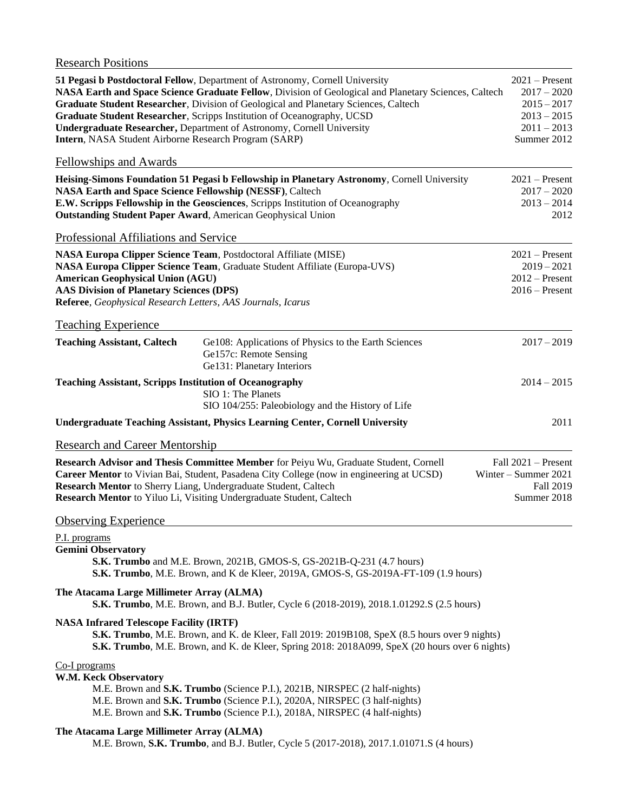## **Research Positions**

| Intern, NASA Student Airborne Research Program (SARP)                                                                                                     | 51 Pegasi b Postdoctoral Fellow, Department of Astronomy, Cornell University<br>NASA Earth and Space Science Graduate Fellow, Division of Geological and Planetary Sciences, Caltech<br>Graduate Student Researcher, Division of Geological and Planetary Sciences, Caltech<br>Graduate Student Researcher, Scripps Institution of Oceanography, UCSD<br><b>Undergraduate Researcher, Department of Astronomy, Cornell University</b> | $2021$ – Present<br>$2017 - 2020$<br>$2015 - 2017$<br>$2013 - 2015$<br>$2011 - 2013$<br>Summer 2012 |
|-----------------------------------------------------------------------------------------------------------------------------------------------------------|---------------------------------------------------------------------------------------------------------------------------------------------------------------------------------------------------------------------------------------------------------------------------------------------------------------------------------------------------------------------------------------------------------------------------------------|-----------------------------------------------------------------------------------------------------|
| Fellowships and Awards                                                                                                                                    |                                                                                                                                                                                                                                                                                                                                                                                                                                       |                                                                                                     |
| <b>NASA Earth and Space Science Fellowship (NESSF), Caltech</b>                                                                                           | Heising-Simons Foundation 51 Pegasi b Fellowship in Planetary Astronomy, Cornell University<br>E.W. Scripps Fellowship in the Geosciences, Scripps Institution of Oceanography<br><b>Outstanding Student Paper Award, American Geophysical Union</b>                                                                                                                                                                                  | $2021$ – Present<br>$2017 - 2020$<br>$2013 - 2014$<br>2012                                          |
| Professional Affiliations and Service                                                                                                                     |                                                                                                                                                                                                                                                                                                                                                                                                                                       |                                                                                                     |
| <b>American Geophysical Union (AGU)</b><br><b>AAS Division of Planetary Sciences (DPS)</b><br>Referee, Geophysical Research Letters, AAS Journals, Icarus | <b>NASA Europa Clipper Science Team, Postdoctoral Affiliate (MISE)</b><br>NASA Europa Clipper Science Team, Graduate Student Affiliate (Europa-UVS)                                                                                                                                                                                                                                                                                   | $2021$ – Present<br>$2019 - 2021$<br>$2012$ – Present<br>$2016$ – Present                           |
| <b>Teaching Experience</b>                                                                                                                                |                                                                                                                                                                                                                                                                                                                                                                                                                                       |                                                                                                     |
| <b>Teaching Assistant, Caltech</b>                                                                                                                        | Ge108: Applications of Physics to the Earth Sciences<br>Ge157c: Remote Sensing<br>Ge131: Planetary Interiors                                                                                                                                                                                                                                                                                                                          | $2017 - 2019$                                                                                       |
| <b>Teaching Assistant, Scripps Institution of Oceanography</b>                                                                                            | SIO 1: The Planets<br>SIO 104/255: Paleobiology and the History of Life                                                                                                                                                                                                                                                                                                                                                               | $2014 - 2015$                                                                                       |
|                                                                                                                                                           | <b>Undergraduate Teaching Assistant, Physics Learning Center, Cornell University</b>                                                                                                                                                                                                                                                                                                                                                  | 2011                                                                                                |
| <b>Research and Career Mentorship</b>                                                                                                                     |                                                                                                                                                                                                                                                                                                                                                                                                                                       |                                                                                                     |
|                                                                                                                                                           | Research Advisor and Thesis Committee Member for Peiyu Wu, Graduate Student, Cornell<br>Career Mentor to Vivian Bai, Student, Pasadena City College (now in engineering at UCSD)<br>Research Mentor to Sherry Liang, Undergraduate Student, Caltech<br>Research Mentor to Yiluo Li, Visiting Undergraduate Student, Caltech                                                                                                           | Fall $2021$ – Present<br>Winter $-$ Summer 2021<br>Fall 2019<br>Summer 2018                         |
| <b>Observing Experience</b>                                                                                                                               |                                                                                                                                                                                                                                                                                                                                                                                                                                       |                                                                                                     |
| P.I. programs<br><b>Gemini Observatory</b>                                                                                                                | S.K. Trumbo and M.E. Brown, 2021B, GMOS-S, GS-2021B-Q-231 (4.7 hours)<br>S.K. Trumbo, M.E. Brown, and K de Kleer, 2019A, GMOS-S, GS-2019A-FT-109 (1.9 hours)                                                                                                                                                                                                                                                                          |                                                                                                     |
| The Atacama Large Millimeter Array (ALMA)                                                                                                                 | S.K. Trumbo, M.E. Brown, and B.J. Butler, Cycle 6 (2018-2019), 2018.1.01292.S (2.5 hours)                                                                                                                                                                                                                                                                                                                                             |                                                                                                     |
| <b>NASA Infrared Telescope Facility (IRTF)</b>                                                                                                            | S.K. Trumbo, M.E. Brown, and K. de Kleer, Fall 2019: 2019B108, SpeX (8.5 hours over 9 nights)<br>S.K. Trumbo, M.E. Brown, and K. de Kleer, Spring 2018: 2018A099, SpeX (20 hours over 6 nights)                                                                                                                                                                                                                                       |                                                                                                     |
| Co-I programs<br>W.M. Keck Observatory                                                                                                                    | M.E. Brown and S.K. Trumbo (Science P.I.), 2021B, NIRSPEC (2 half-nights)<br>M.E. Brown and S.K. Trumbo (Science P.I.), 2020A, NIRSPEC (3 half-nights)<br>M.E. Brown and S.K. Trumbo (Science P.I.), 2018A, NIRSPEC (4 half-nights)                                                                                                                                                                                                   |                                                                                                     |
| The Atacama Large Millimeter Array (ALMA)                                                                                                                 | M.E. Brown, S.K. Trumbo, and B.J. Butler, Cycle 5 (2017-2018), 2017.1.01071.S (4 hours)                                                                                                                                                                                                                                                                                                                                               |                                                                                                     |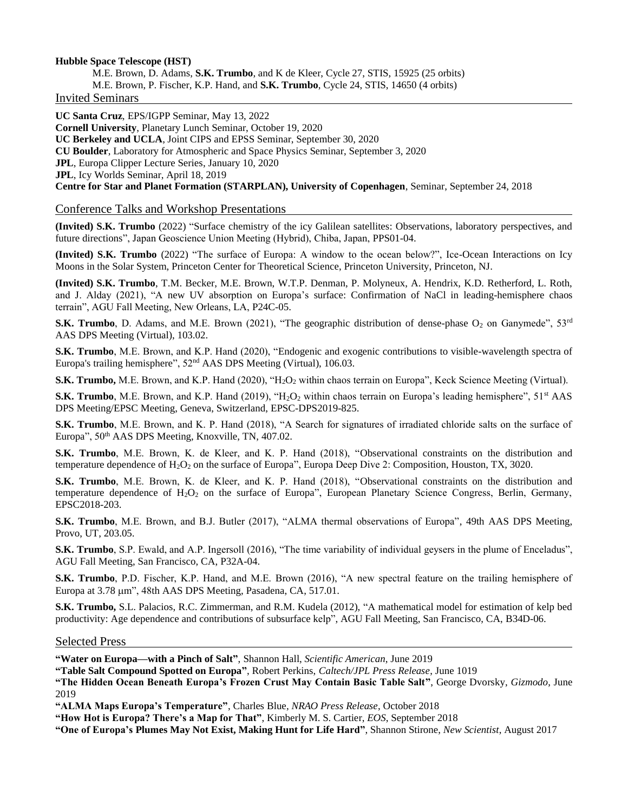#### **Hubble Space Telescope (HST)**

M.E. Brown, D. Adams, **S.K. Trumbo**, and K de Kleer, Cycle 27, STIS, 15925 (25 orbits) M.E. Brown, P. Fischer, K.P. Hand, and **S.K. Trumbo**, Cycle 24, STIS, 14650 (4 orbits)

Invited Seminars

**UC Santa Cruz**, EPS/IGPP Seminar, May 13, 2022 **Cornell University**, Planetary Lunch Seminar, October 19, 2020 **UC Berkeley and UCLA**, Joint CIPS and EPSS Seminar, September 30, 2020 **CU Boulder**, Laboratory for Atmospheric and Space Physics Seminar, September 3, 2020 **JPL**, Europa Clipper Lecture Series, January 10, 2020 **JPL**, Icy Worlds Seminar, April 18, 2019 **Centre for Star and Planet Formation (STARPLAN), University of Copenhagen**, Seminar, September 24, 2018

## Conference Talks and Workshop Presentations

**(Invited) S.K. Trumbo** (2022) "Surface chemistry of the icy Galilean satellites: Observations, laboratory perspectives, and future directions", Japan Geoscience Union Meeting (Hybrid), Chiba, Japan, PPS01-04.

**(Invited) S.K. Trumbo** (2022) "The surface of Europa: A window to the ocean below?", Ice-Ocean Interactions on Icy Moons in the Solar System, Princeton Center for Theoretical Science, Princeton University, Princeton, NJ.

**(Invited) S.K. Trumbo**, T.M. Becker, M.E. Brown, W.T.P. Denman, P. Molyneux, A. Hendrix, K.D. Retherford, L. Roth, and J. Alday (2021), "A new UV absorption on Europa's surface: Confirmation of NaCl in leading-hemisphere chaos terrain", AGU Fall Meeting, New Orleans, LA, P24C-05.

**S.K. Trumbo**, D. Adams, and M.E. Brown (2021), "The geographic distribution of dense-phase  $O_2$  on Ganymede",  $53<sup>rd</sup>$ AAS DPS Meeting (Virtual), 103.02.

**S.K. Trumbo**, M.E. Brown, and K.P. Hand (2020), "Endogenic and exogenic contributions to visible-wavelength spectra of Europa's trailing hemisphere", 52nd AAS DPS Meeting (Virtual), 106.03.

**S.K. Trumbo,** M.E. Brown, and K.P. Hand (2020), "H<sub>2</sub>O<sub>2</sub> within chaos terrain on Europa", Keck Science Meeting (Virtual).

**S.K. Trumbo**, M.E. Brown, and K.P. Hand (2019), "H<sub>2</sub>O<sub>2</sub> within chaos terrain on Europa's leading hemisphere", 51<sup>st</sup> AAS DPS Meeting/EPSC Meeting, Geneva, Switzerland, EPSC-DPS2019-825.

**S.K. Trumbo**, M.E. Brown, and K. P. Hand (2018), "A Search for signatures of irradiated chloride salts on the surface of Europa", 50<sup>th</sup> AAS DPS Meeting, Knoxville, TN, 407.02.

**S.K. Trumbo**, M.E. Brown, K. de Kleer, and K. P. Hand (2018), "Observational constraints on the distribution and temperature dependence of  $H_2O_2$  on the surface of Europa", Europa Deep Dive 2: Composition, Houston, TX, 3020.

**S.K. Trumbo**, M.E. Brown, K. de Kleer, and K. P. Hand (2018), "Observational constraints on the distribution and temperature dependence of  $H_2O_2$  on the surface of Europa", European Planetary Science Congress, Berlin, Germany, EPSC2018-203.

**S.K. Trumbo**, M.E. Brown, and B.J. Butler (2017), "ALMA thermal observations of Europa", 49th AAS DPS Meeting, Provo, UT, 203.05.

**S.K. Trumbo**, S.P. Ewald, and A.P. Ingersoll (2016), "The time variability of individual geysers in the plume of Enceladus", AGU Fall Meeting, San Francisco, CA, P32A-04.

**S.K. Trumbo**, P.D. Fischer, K.P. Hand, and M.E. Brown (2016), "A new spectral feature on the trailing hemisphere of Europa at 3.78 µm", 48th AAS DPS Meeting, Pasadena, CA, 517.01.

**S.K. Trumbo,** S.L. Palacios, R.C. Zimmerman, and R.M. Kudela (2012), "A mathematical model for estimation of kelp bed productivity: Age dependence and contributions of subsurface kelp", AGU Fall Meeting, San Francisco, CA, B34D-06.

## Selected Press

**"Water on Europa—with a Pinch of Salt"**, Shannon Hall, *Scientific American*, June 2019

**"Table Salt Compound Spotted on Europa"**, Robert Perkins, *Caltech/JPL Press Release*, June 1019

**"The Hidden Ocean Beneath Europa's Frozen Crust May Contain Basic Table Salt"**, George Dvorsky, *Gizmodo*, June 2019

**"ALMA Maps Europa's Temperature"**, Charles Blue, *NRAO Press Release*, October 2018

**"How Hot is Europa? There's a Map for That"**, Kimberly M. S. Cartier, *EOS*, September 2018

**"One of Europa's Plumes May Not Exist, Making Hunt for Life Hard"**, Shannon Stirone, *New Scientist*, August 2017